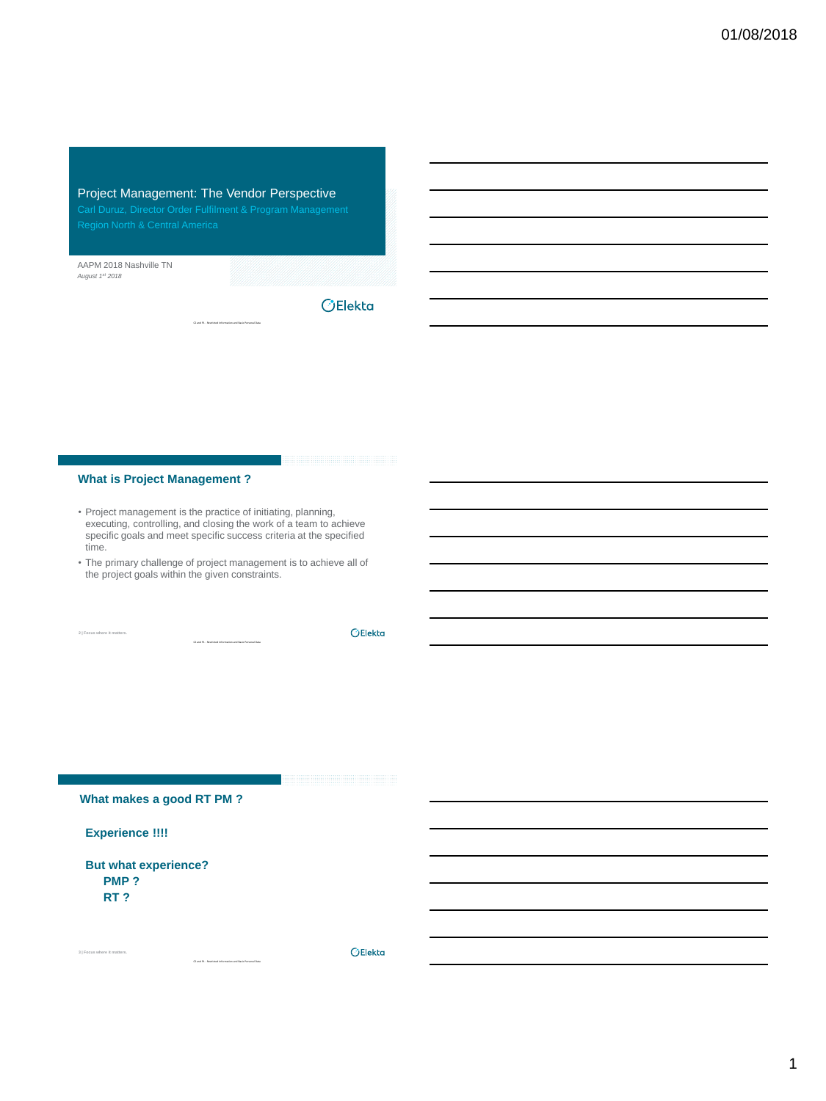## Project Management: The Vendor Perspective

AAPM 2018 Nashville TN *August 1st 2018*

**OElekta** 

## **What is Project Management ?**

- Project management is the practice of initiating, planning, executing, controlling, and closing the work of a team to achieve specific goals and meet specific success criteria at the specified time.
- The primary challenge of project management is to achieve all of the project goals within the given constraints.

C2 and P1 - Restricted Information and Basic Personal Data

**2 | Focus where it matters.**

OElekta

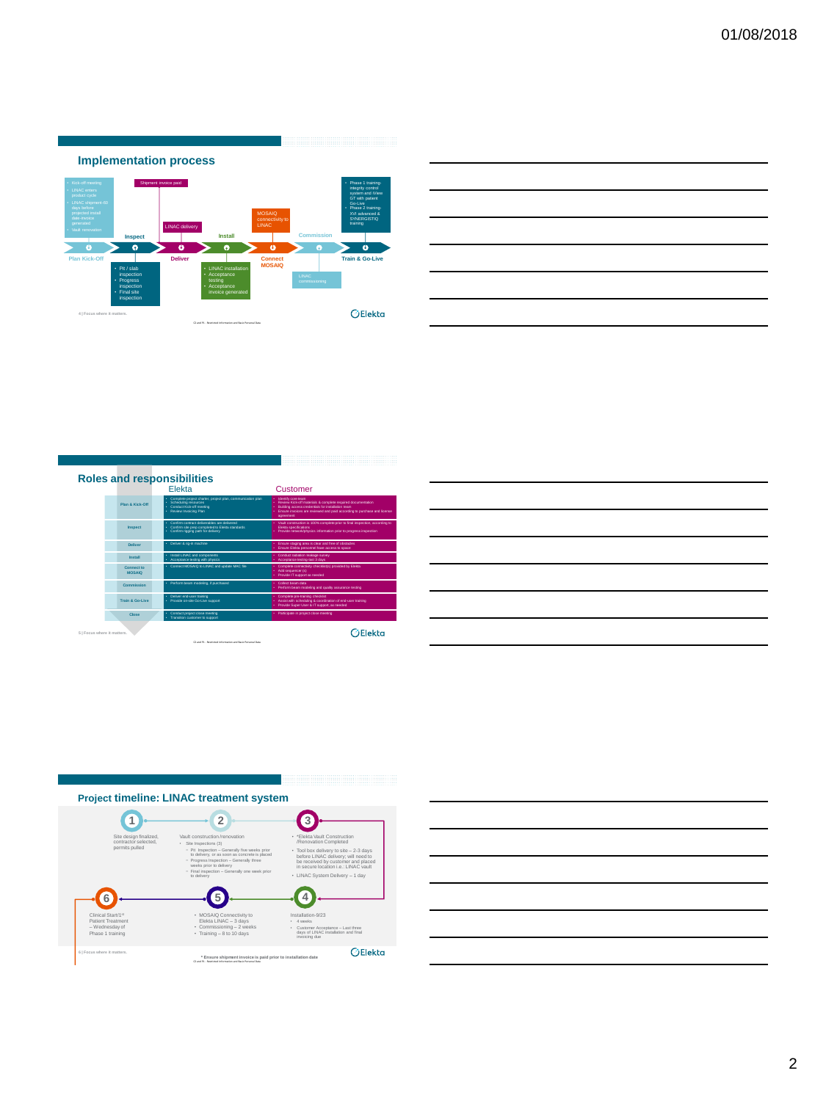

| and the control of the control of the control of the control of the control of the control of the control of the     |  |        |
|----------------------------------------------------------------------------------------------------------------------|--|--------|
| <u> La componenta de la contrada de la contrada de la contrada de la contrada de la contrada de la contrada de l</u> |  | ______ |
|                                                                                                                      |  |        |
|                                                                                                                      |  |        |

|                             |                      | <b>Roles and responsibilities</b>                                                                                                                      |                                                                                                                                                                                                                               |
|-----------------------------|----------------------|--------------------------------------------------------------------------------------------------------------------------------------------------------|-------------------------------------------------------------------------------------------------------------------------------------------------------------------------------------------------------------------------------|
|                             |                      | Flekta                                                                                                                                                 | Customer                                                                                                                                                                                                                      |
|                             | Plan & Kink-Off      | Complete project charter, project plan, communication plan<br>÷.<br>· Scheduling resources<br><b>Conduct Kick-off meeting</b><br>Review Invoicing Plan | Identify core team<br>Review Kidooff materials & complete required documentation<br>Building access credentials for installation team<br>Ensure invoices are reviewed and paid according to purchase and license<br>agreement |
|                             | Inspect              | . Confirm creators definerables are delivered<br>Confirm site crep completed to Elekta standards<br>٠<br>. Continentigging path for delivery           | Vault construction is 100% complete prior to final inspection, according to<br><b>Flakta snančinatnim</b><br>Provide network/bhysics information prior to progress inspection                                                 |
|                             | Deliver              | · Deliver & rio-in machine                                                                                                                             | Ensure staging area is clear and free of obstacles<br>Ensure Elekta personnel have access to space                                                                                                                            |
|                             | Install              | Install LINAC and components<br>÷.<br>Acceptance testing with physics                                                                                  | Conduct radiation leakage survey<br>Acceptance testing-last 3 days                                                                                                                                                            |
|                             | Connect to<br>MOSAIO | . Connect MOSAIO to LINAC and update MAC file                                                                                                          | Complete connectivity checklistia) provided by Eleita<br>Add sequencer (s)<br>Provide IT support as needed                                                                                                                    |
|                             | Commission           | · Perform beam modeling, if purchased                                                                                                                  | Collars hours data<br>Perform beam modeling and quality assurance testing                                                                                                                                                     |
|                             | Train & Go-Live      | Deliver end-user training<br>÷.<br>· Provide on-site Go-Live support                                                                                   | Complete pre-training checklist<br>Assist with achedulng & coordination of end-user training<br>Provide Super User & IT support, as needed                                                                                    |
|                             | Cinse                | Conduct project close meeting<br>Transition customer to support                                                                                        | · Participate in project close meeting                                                                                                                                                                                        |
| 5   Focus where it matters. |                      |                                                                                                                                                        |                                                                                                                                                                                                                               |

<u> 1999 - Januar Albert III, martxa arte</u>



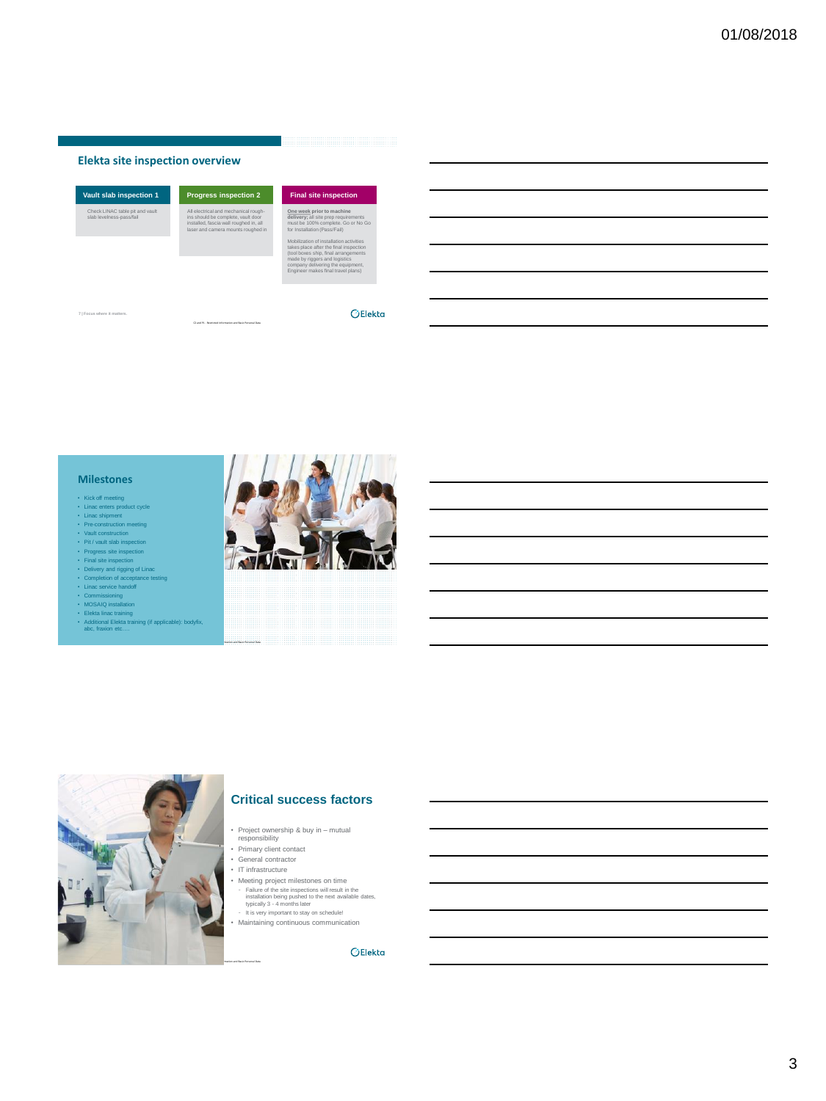#### **Elekta site inspection overview**

| Vault slab inspection 1                                     | <b>Progress inspection 2</b>                                                                                                                               | <b>Final site inspection</b>                                                                                                                                                                                                                                                                                                                                                      |
|-------------------------------------------------------------|------------------------------------------------------------------------------------------------------------------------------------------------------------|-----------------------------------------------------------------------------------------------------------------------------------------------------------------------------------------------------------------------------------------------------------------------------------------------------------------------------------------------------------------------------------|
| Check LINAC table pit and vault<br>slab levelness-pass/fail | All electrical and mechanical rough-<br>ins should be complete, yault door<br>installed, fascia wall roughed in, all<br>laser and camera mounts roughed in | One week prior to machine<br>delivery: all site prep requirements<br>must be 100% complete. Go or No Go<br>for Installation (Pass/Fail)<br>Mobilization of installation activities<br>takes place after the final inspection<br>(tool boxes ship, final arrangements)<br>made by riggers and logistics<br>company delivering the equipment.<br>Engineer makes final travel plans) |
|                                                             |                                                                                                                                                            |                                                                                                                                                                                                                                                                                                                                                                                   |

**7 | Focus where it matters.**

#### **Milestones**

- 
- 
- 
- 
- 
- 
- Fixick of metring<br>
Fixick of metring conduct cycle<br>
 Lines christmatic metring<br>
 Pie-construction metring<br>
 Vault construction<br>
 Pit/ vault sine inspection<br>
 Pit/ vault sine inspection<br>
 Final sine inspection<br>
 Del
- 
- 
- 
- ekta linac training<br>Iditional Elekta trai
- Additional Elekta training (if applicable): bodyfix, abc.<br>The etg



 $O$ Elekta



#### **Critical success factors**

- Project ownership & buy in mutual responsibility Primary client contact
- 
- General contractor
- IT infrastructure
- Meeting project milestones on time<br>
 Failure of the site inspections will result in the<br>
installation being pushed to the next available dates,<br>
this very inportant to stay<br>
 It is very inportant to stay<br>
 Maintaining
	-

OElekta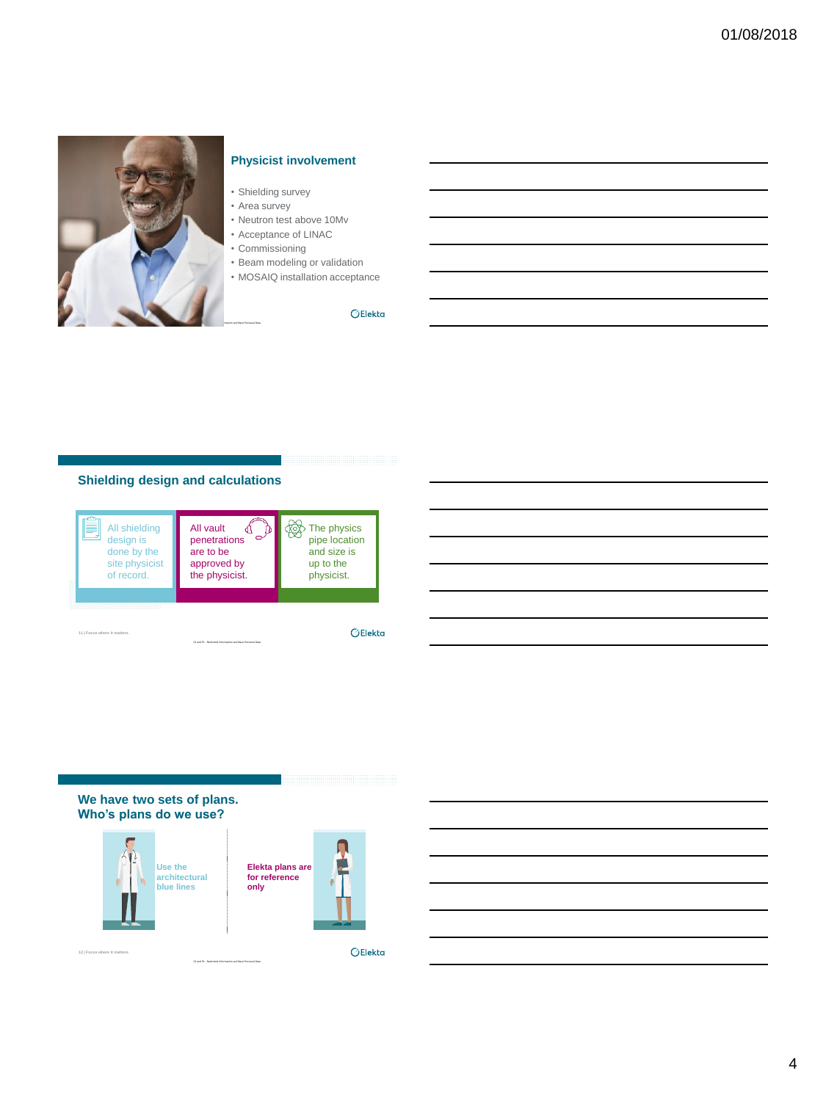

## **Physicist involvement**

- Shielding survey
- Area survey
- Neutron test above 10Mv • Acceptance of LINAC
- Commissioning
- Beam modeling or validation
- 
- MOSAIQ installation acceptance

 $O$ Elekta

## **Shielding design and calculations**



**We have two sets of plans. Who's plans do we use?**





**12** | Focus where it m

**OElekta**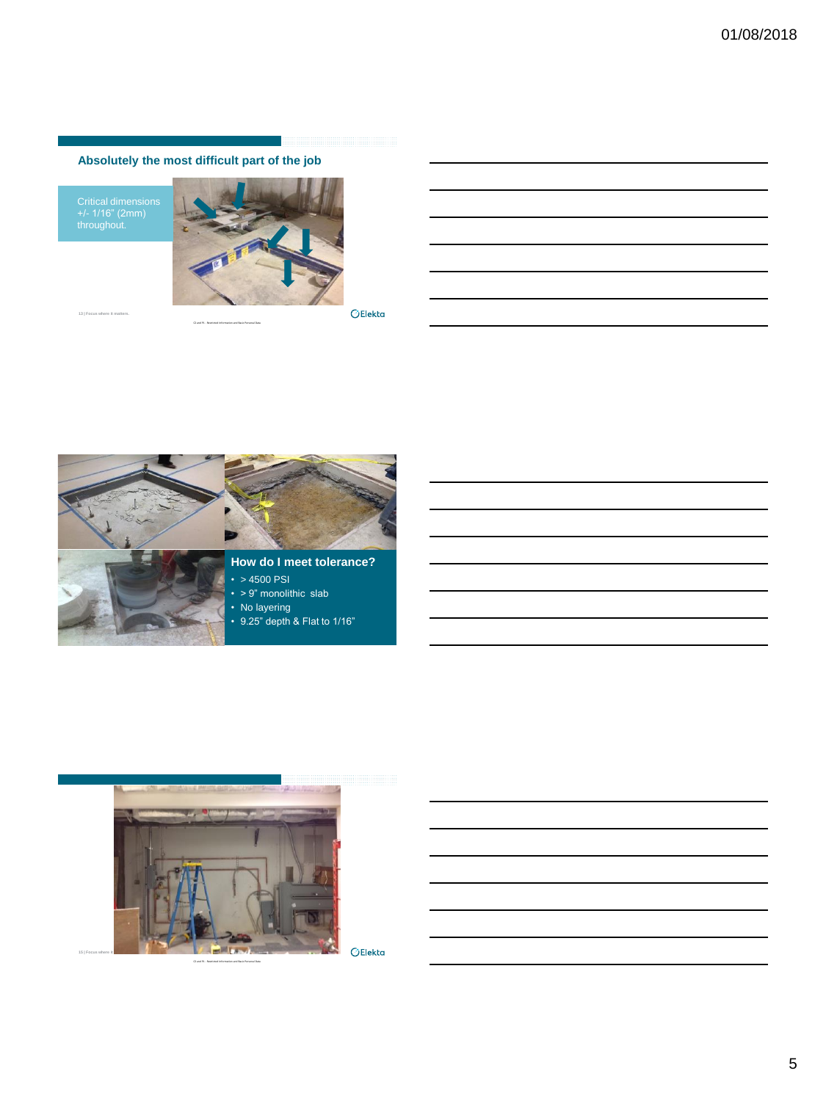# **Absolutely the most difficult part of the job**

Critical dimensions +/- 1/16" (2mm) throughout.

**13** | Focus where it ma



 $\bigcirc$ Elekta

<u> 1989 - Jan Sterling von Branden in der Sterling von Branden in der Sterling von Branden in der Sterling von B</u>



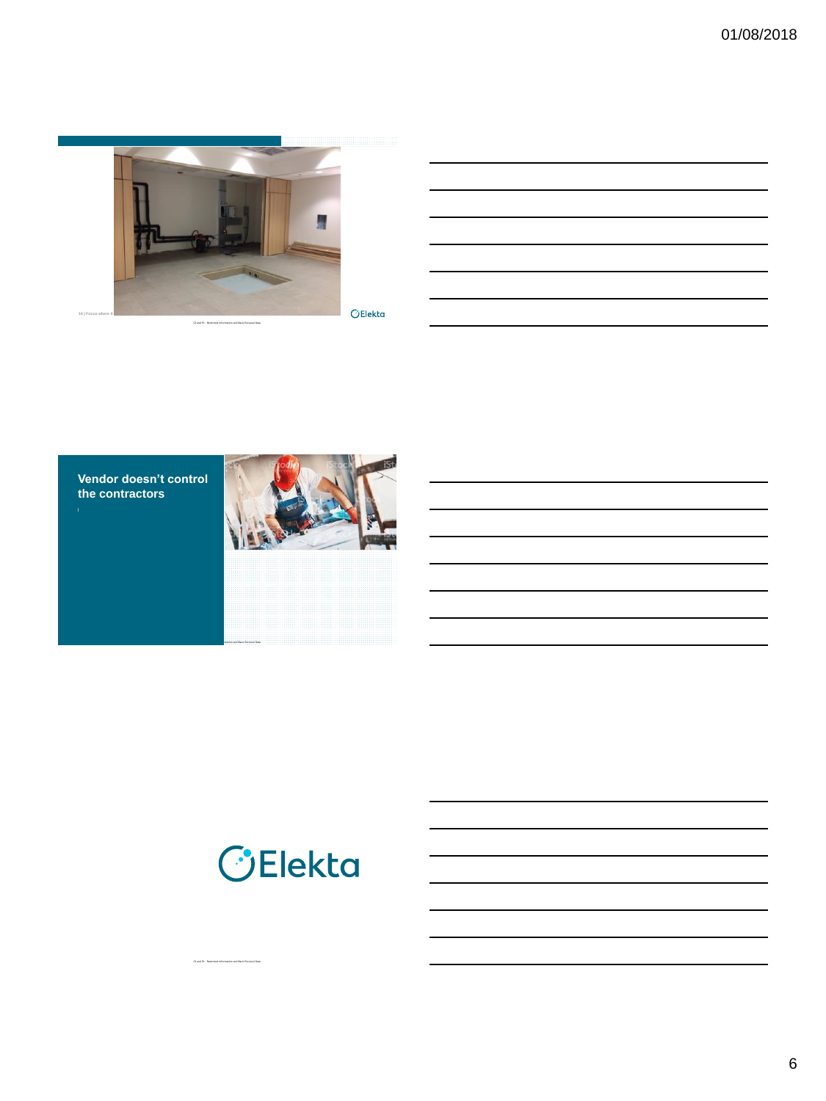

C2 and P1 - Restricted Information and Basic Personal Data

C2 and P1 - Restricted Information and Basic Personal Data

 $\bigcirc$ Elekta